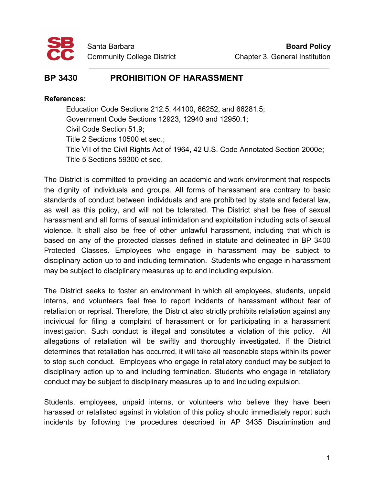

## **BP 3430 PROHIBITION OF HARASSMENT**

## **References:**

Education Code Sections 212.5, 44100, 66252, and 66281.5; Government Code Sections 12923, 12940 and 12950.1; Civil Code Section 51.9; Title 2 Sections 10500 et seq.; Title VII of the Civil Rights Act of 1964, 42 U.S. Code Annotated Section 2000e; Title 5 Sections 59300 et seq.

The District is committed to providing an academic and work environment that respects the dignity of individuals and groups. All forms of harassment are contrary to basic standards of conduct between individuals and are prohibited by state and federal law, as well as this policy, and will not be tolerated. The District shall be free of sexual harassment and all forms of sexual intimidation and exploitation including acts of sexual violence. It shall also be free of other unlawful harassment, including that which is based on any of the protected classes defined in statute and delineated in BP 3400 Protected Classes. Employees who engage in harassment may be subject to disciplinary action up to and including termination. Students who engage in harassment may be subject to disciplinary measures up to and including expulsion.

The District seeks to foster an environment in which all employees, students, unpaid interns, and volunteers feel free to report incidents of harassment without fear of retaliation or reprisal. Therefore, the District also strictly prohibits retaliation against any individual for filing a complaint of harassment or for participating in a harassment investigation. Such conduct is illegal and constitutes a violation of this policy. All allegations of retaliation will be swiftly and thoroughly investigated. If the District determines that retaliation has occurred, it will take all reasonable steps within its power to stop such conduct. Employees who engage in retaliatory conduct may be subject to disciplinary action up to and including termination. Students who engage in retaliatory conduct may be subject to disciplinary measures up to and including expulsion.

Students, employees, unpaid interns, or volunteers who believe they have been harassed or retaliated against in violation of this policy should immediately report such incidents by following the procedures described in AP 3435 Discrimination and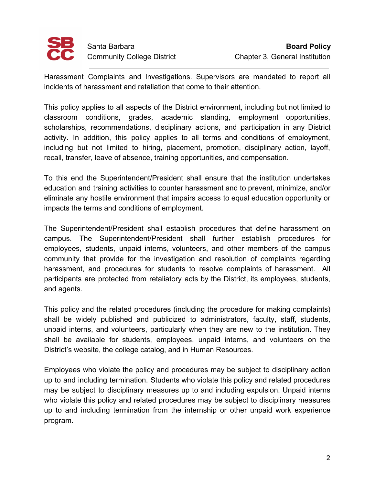

Harassment Complaints and Investigations. Supervisors are mandated to report all incidents of harassment and retaliation that come to their attention.

This policy applies to all aspects of the District environment, including but not limited to classroom conditions, grades, academic standing, employment opportunities, scholarships, recommendations, disciplinary actions, and participation in any District activity. In addition, this policy applies to all terms and conditions of employment, including but not limited to hiring, placement, promotion, disciplinary action, layoff, recall, transfer, leave of absence, training opportunities, and compensation.

To this end the Superintendent/President shall ensure that the institution undertakes education and training activities to counter harassment and to prevent, minimize, and/or eliminate any hostile environment that impairs access to equal education opportunity or impacts the terms and conditions of employment.

The Superintendent/President shall establish procedures that define harassment on campus. The Superintendent/President shall further establish procedures for employees, students, unpaid interns, volunteers, and other members of the campus community that provide for the investigation and resolution of complaints regarding harassment, and procedures for students to resolve complaints of harassment. All participants are protected from retaliatory acts by the District, its employees, students, and agents.

This policy and the related procedures (including the procedure for making complaints) shall be widely published and publicized to administrators, faculty, staff, students, unpaid interns, and volunteers, particularly when they are new to the institution. They shall be available for students, employees, unpaid interns, and volunteers on the District's website, the college catalog, and in Human Resources.

Employees who violate the policy and procedures may be subject to disciplinary action up to and including termination. Students who violate this policy and related procedures may be subject to disciplinary measures up to and including expulsion. Unpaid interns who violate this policy and related procedures may be subject to disciplinary measures up to and including termination from the internship or other unpaid work experience program.